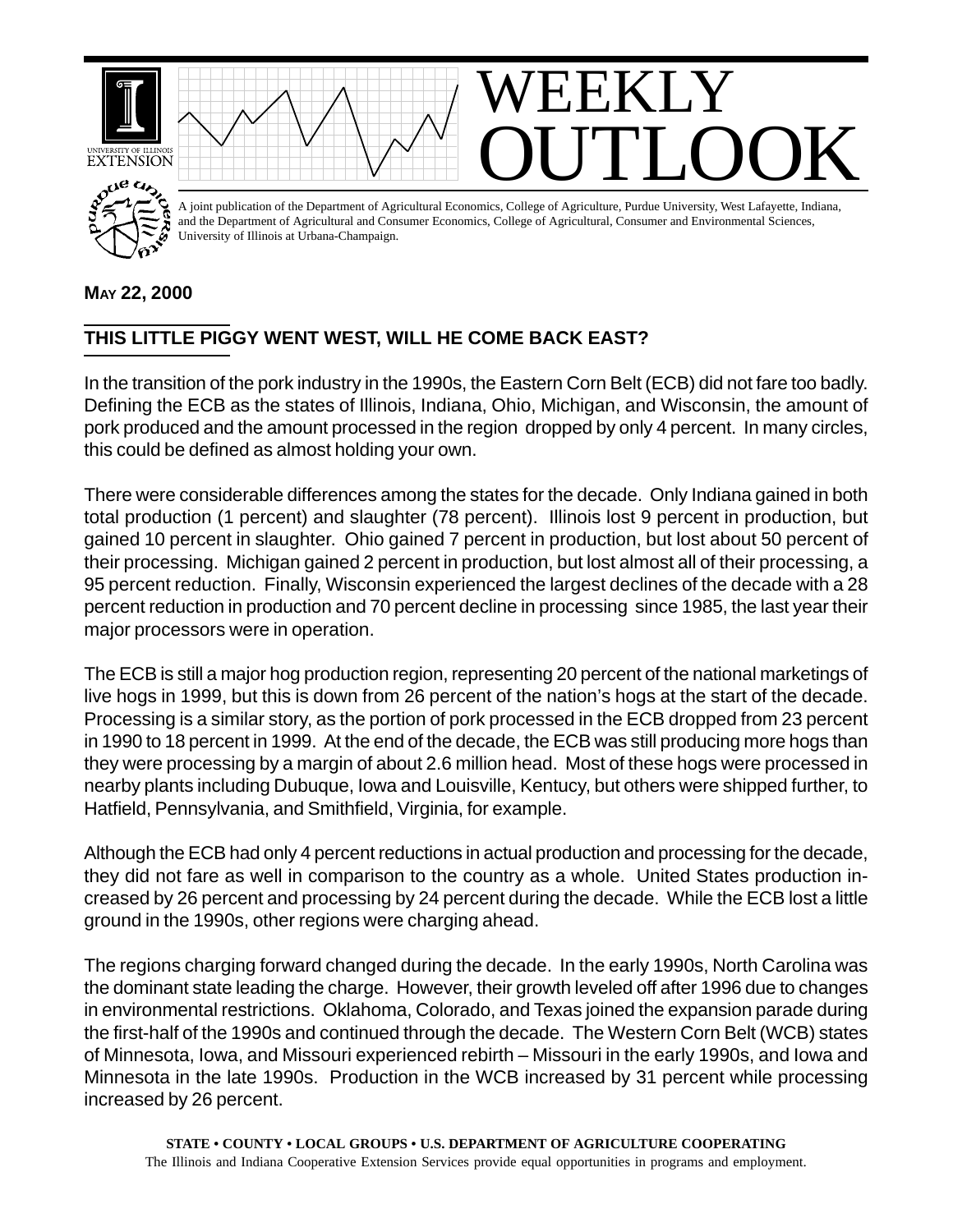

## **MAY 22, 2000**

## **THIS LITTLE PIGGY WENT WEST, WILL HE COME BACK EAST?**

In the transition of the pork industry in the 1990s, the Eastern Corn Belt (ECB) did not fare too badly. Defining the ECB as the states of Illinois, Indiana, Ohio, Michigan, and Wisconsin, the amount of pork produced and the amount processed in the region dropped by only 4 percent. In many circles, this could be defined as almost holding your own.

There were considerable differences among the states for the decade. Only Indiana gained in both total production (1 percent) and slaughter (78 percent). Illinois lost 9 percent in production, but gained 10 percent in slaughter. Ohio gained 7 percent in production, but lost about 50 percent of their processing. Michigan gained 2 percent in production, but lost almost all of their processing, a 95 percent reduction. Finally, Wisconsin experienced the largest declines of the decade with a 28 percent reduction in production and 70 percent decline in processing since 1985, the last year their major processors were in operation.

The ECB is still a major hog production region, representing 20 percent of the national marketings of live hogs in 1999, but this is down from 26 percent of the nation's hogs at the start of the decade. Processing is a similar story, as the portion of pork processed in the ECB dropped from 23 percent in 1990 to 18 percent in 1999. At the end of the decade, the ECB was still producing more hogs than they were processing by a margin of about 2.6 million head. Most of these hogs were processed in nearby plants including Dubuque, Iowa and Louisville, Kentucy, but others were shipped further, to Hatfield, Pennsylvania, and Smithfield, Virginia, for example.

Although the ECB had only 4 percent reductions in actual production and processing for the decade, they did not fare as well in comparison to the country as a whole. United States production increased by 26 percent and processing by 24 percent during the decade. While the ECB lost a little ground in the 1990s, other regions were charging ahead.

The regions charging forward changed during the decade. In the early 1990s, North Carolina was the dominant state leading the charge. However, their growth leveled off after 1996 due to changes in environmental restrictions. Oklahoma, Colorado, and Texas joined the expansion parade during the first-half of the 1990s and continued through the decade. The Western Corn Belt (WCB) states of Minnesota, Iowa, and Missouri experienced rebirth – Missouri in the early 1990s, and Iowa and Minnesota in the late 1990s. Production in the WCB increased by 31 percent while processing increased by 26 percent.